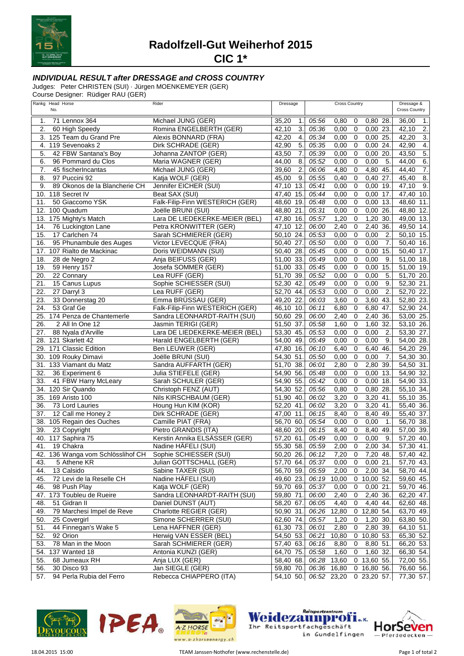

**Radolfzell-Gut Weiherhof 2015**

**CIC 1\***

## **INDIVIDUAL RESULT after DRESSAGE and CROSS COUNTRY**

Judges: Peter CHRISTEN (SUI) · Jürgen MOENKEMEYER (GER)

Course Designer: Rüdiger RAU (GER)

|                  | Rankg Head Horse<br>No. |                                   | Rider                           | Dressage                  |             | <b>Cross Country</b> |                                        | Dressage &<br><b>Cross Country</b> |
|------------------|-------------------------|-----------------------------------|---------------------------------|---------------------------|-------------|----------------------|----------------------------------------|------------------------------------|
| 1.               |                         | 71 Lennox 364                     | Michael JUNG (GER)              | 35,20<br>1.               | 05:56       | 0,80                 | 0,80 28.<br>0                          | 36,00<br>$\mathbf{1}$ .            |
| 2.               |                         | 60 High Speedy                    | Romina ENGELBERTH (GER)         | $\overline{3}$ .<br>42,10 | 05:36       | 0,00                 | $\mathbf 0$<br>$0,00$ 23.              | $\overline{2}$ .<br>42,10          |
| 3.               |                         | 125 Team du Grand Pre             | Alexis BONNARD (FRA)            | 42,20<br>4.               | 05:34       | 0,00                 | $\mathbf 0$<br>0.0025                  | $\overline{3}$ .<br>42,20          |
| 4.               |                         | 119 Sevenoaks 2                   | Dirk SCHRADE (GER)              | 42,90<br>5.               | 05:35       | 0,00                 | $\mathbf 0$<br>0,00<br>24.             | 4.<br>42,90                        |
| 5.               |                         | 42 FBW Santana's Boy              | Johanna ZANTOP (GER)            | 43,50<br>7.               | 05:39       | 0,00                 | $\boldsymbol{0}$<br>0,00<br>20         | 43,50<br>5.                        |
| 6.               |                         | 96 Pommard du Clos                | Maria WAGNER (GER)              | 44,00<br>8.               | 05:52       | 0,00                 | $\mathbf 0$<br>0,00<br>-5.             | 6.<br>44,00                        |
| 7.               |                         | 45 fischerIncantas                | Michael JUNG (GER)              | 39,60<br>2.               | 06:06       | 4,80                 | $4,80$ 45.<br>$\mathbf 0$              | $\overline{7}$ .<br>44,40          |
| $\overline{8}$ . |                         | 97 Puccini 92                     | Katja WOLF (GER)                | 45,00<br>9.               | 05:55       | 0,40                 | $0,40$ 27<br>$\mathbf 0$               | 8.<br>45,40                        |
| 9.               |                         | 89 Okonos de la Blancherie CH     | Jennifer EICHER (SUI)           | 47,10<br>13.              | 05:41       | 0,00                 | $\mathbf 0$<br>0,00<br>19              | 47,10<br>9.                        |
| 10.              |                         | 118 Secret IV                     | Beat SAX (SUI)                  | 47,40 15.                 | 05:44       | 0,00                 | $\mathsf 0$<br>0,00<br>17.             | 47,40 10.                          |
| 11.              |                         | 50 Giaccomo YSK                   | Falk-Filip-Finn WESTERICH (GER) | 48,60 19.                 | 05:48       | 0,00                 | $\mathbf 0$<br>$0,00$ 13.              | 48,60 11.                          |
| 12.              |                         | 100 Quadum                        | Joëlle BRUNI (SUI)              | 48,80 21.                 | 05:31       | 0,00                 | $\overline{0}$<br>0,00<br>26           | 48,80 12.                          |
| 13.              |                         | 175 Mighty's Match                | Lara DE LIEDEKERKE-MEIER (BEL)  | 47,80 16.                 | 05:57       | 1,20                 | $\mathbf 0$<br>1,20<br>30.             | 49,00 13.                          |
| 14.              |                         | 76 Luckington Lane                | Petra KRONWITTER (GER)          | $47,10$ 12.               | 06:00       | 2,40                 | $\mathbf 0$<br>2,40 36.                | 49,50 14.                          |
| 15.              |                         | 17 Carlchen 74                    | Sarah SCHMIERER (GER)           | 50,10 24.                 | 05:53       | 0,00                 | $\mathbf 0$<br>$\overline{2}$<br>0,00  | $50,10$ 15.                        |
| 16.              |                         | 95 Phunambule des Auges           | Victor LEVECQUE (FRA)           | 50,40 27.                 | 05:50       | 0,00                 | $\mathsf 0$<br>$\overline{7}$<br>0,00  | 50,40 16.                          |
| 17.              |                         | 107 Rialto de Mackinac            | Doris WEIDMANN (SUI)            | 50,40 28.                 | 05:45       | 0,00                 | $\mathbf 0$<br>0,00<br>15              | 50,40 17.                          |
| 18.              |                         | 28 de Negro 2                     | Anja BEIFUSS (GER)              | 51,00 33.                 | 05:49       | 0,00                 | $\mathbf 0$<br>9.<br>0,00              | 51,00 18.                          |
| 19.              |                         | 59 Henry 157                      | Josefa SOMMER (GER)             | 51,00 33.                 | 05:45       | 0,00                 | $\mathbf 0$<br>$0,00$ 15               | 51,00 19.                          |
| 20.              |                         | 22 Connary                        | Lea RUFF (GER)                  | 51,70 39.                 | 05:52       | 0,00                 | $\mathsf 0$<br>0,00<br>5.              | 51,70 20.                          |
| 21.              |                         | 15 Canus Lupus                    | Sophie SCHIESSER (SUI)          | 52,30 42.                 | 05:49       | 0,00                 | $\mathbf 0$<br>0,00<br>9.              | 52,30 21.                          |
| 22.              |                         | 27 Darryl 3                       | Lea RUFF (GER)                  | 52,70 44.                 | 05:53       | 0,00                 | $\overline{2}$<br>$\mathbf 0$<br>0,00  | 52,70 22.                          |
| 23.              |                         | 33 Donnerstag 20                  | Emma BRÜSSAU (GER)              | 49,20 22.                 | 06:03       | 3,60                 | $\overline{0}$<br>3,60 43.             | 52,80 23.                          |
| 24.              |                         | 53 Graf Ge                        | Falk-Filip-Finn WESTERICH (GER) | 46,10 10.                 | 06:11       | 6,80                 | $\mathsf 0$<br>6,80<br>47              | 52,90 24.                          |
|                  |                         | 25. 174 Penza de Chantemerle      | Sandra LEONHARDT-RAITH (SUI)    | 50,60 29.                 | 06:00       | 2,40                 | $\overline{2,}40$<br>$\mathbf 0$<br>36 | 53,00 25.                          |
| 26.              |                         | 2 All In One 12                   | Jasmin TERIGI (GER)             | 51,50 37.                 | 05:58       | 1,60                 | 32<br>1,60<br>$\mathbf 0$              | 53,10 26.                          |
| 27.              |                         | 88 Nyala d'Arville                | Lara DE LIEDEKERKE-MEIER (BEL)  | 53,30 45.                 | 05:53       | 0,00                 | $\mathbf 0$<br>$\overline{2}$<br>0,00  | 53,30 27.                          |
| 28.              |                         | 121 Skarlett 42                   | Harald ENGELBERTH (GER)         | 54,00 49.                 | 05:49       | 0,00                 | $\boldsymbol{0}$<br>0,00<br>9.         | 54,00 28.                          |
|                  |                         | 29. 171 Classic Edition           | Ben LEUWER (GER)                | 47,80 16.                 | 06:10       | 6,40                 | $\mathbf 0$<br>6,40 46                 | 54,20 29.                          |
|                  |                         | 30. 109 Rouky Dimavi              | Joëlle BRUNI (SUI)              | 54,30 51.                 | 05:50       | 0,00                 | 7.<br>$\mathbf 0$<br>0,00              | 54,30 30.                          |
| 31.              |                         | 133 Viamant du Matz               | Sandra AUFFARTH (GER)           | 51,70 38.                 | 06:01       | 2,80                 | $\mathbf 0$<br>2,80<br>39              | 54,50 31.                          |
| 32.              |                         | 36 Experiment 6                   | Julia STIEFELE (GER)            | 54,90 56.                 | 05:48       | 0,00                 | $\mathbf 0$<br>0,00<br>13.             | 54,90 32.                          |
| 33.              |                         | 41 FBW Harry McLeary              | Sarah SCHULER (GER)             | 54,90 55.                 | 05:42       | 0,00                 | $\mathbf 0$<br>0,00<br>18              | 54,90 33.                          |
| 34.              |                         | 120 Sir Quando                    | Christoph FENZ (AUT)            | 54,30 52.                 | 05:56       | 0,80                 | $\mathsf 0$<br>0,80 28                 | $55,10$ 34.                        |
| 35.              |                         | 169 Aristo 100                    | Nils KIRSCHBAUM (GER)           | 51,90 40.                 | 06:02       | 3,20                 | $3,20$ 41<br>$\mathsf 0$               | 55,10 35.                          |
| 36.              |                         | 73 Lord Lauries                   | Houng Hun KIM (KOR)             | 52,20 41.                 | 06:02       | 3,20                 | $\mathbf 0$<br>3,20<br>41.             | 55,40<br>36.                       |
| 37.              |                         | 12 Call me Honey 2                | Dirk SCHRADE (GER)              | 47,00 11.                 | 06:15       | 8,40                 | $8,40$ 49.<br>$\mathbf 0$              | 55,40 37.                          |
| 38.              |                         | 105 Regain des Ouches             | Camille PIAT (FRA)              | 56,70 60.                 | 05:54       | 0,00                 | $\mathbf 0$<br>0,00<br>$\overline{1}$  | 56,70 38.                          |
| 39.              |                         | 23 Copyright                      | Pietro GRANDIS (ITA)            | 48,60 20.                 | 06:15       | 8,40                 | $\mathbf 0$<br>$8,40$ 49.              | 57,00 39.                          |
| 40.              |                         | 117 Saphira 75                    | Kerstin Annika ELSÄSSER (GER)   | 57,20 61.                 | 05:49       | 0,00                 | $\Omega$<br>0,00<br>9.                 | 57,20 40.                          |
| 41.              |                         | 19 Chakra                         | Nadine HÄFELI (SUI)             | 55,30 58.                 | 05:59       | 2,00                 | $\mathbf 0$<br>2,00 34.                | 57,30 41.                          |
|                  |                         | 42. 136 Wanga vom Schlösslihof CH | Sophie SCHIESSER (SUI)          | 50,20 26.                 | 06:12       | 7,20                 | 7,20 48<br>0                           | 57,40 42.                          |
| 43.              |                         | 5 Athene KR                       | Julian GOTTSCHALL (GER)         | 57,70 64.                 | 05:37       | 0,00                 | $\mathbf 0$<br>$0,0021$ .              | 57,70 43.                          |
| 44.              |                         | 13 Calsido                        | Sabine TAXER (SUI)              | 56,70 59.                 | 05:59       | 2,00                 | 2,00 34.<br>0                          | 58,70 44.                          |
| 45.              |                         | 72 Levi de la Reselle CH          | Nadine HÄFELI (SUI)             | 49,60 23.                 | 06:19 10,00 |                      | $0$ 10,00 52.                          | 59,60 45.                          |
| 46.              |                         | 98 Push Play                      | Katja WOLF (GER)                | 59,70 69.                 | 05:37       | 0,00                 | $\boldsymbol{0}$<br>0,0021             | 59,70 46.                          |
| 47.              |                         | 173 Toubleu de Rueire             | Sandra LEONHARDT-RAITH (SUI)    | 59,80 71.                 | 06:00       | 2,40                 | 2,40 36<br>$\mathbf 0$                 | 62,20 47.                          |
| 48.              |                         | 51 Gidran II                      | Daniel DUNST (AUT)              | 58,20 67.                 | 06:05       | 4,40                 | $\mathbf 0$<br>4,40 44.                | 62,60 48.                          |
| 49.              |                         | 79 Marchesi Impel de Reve         | Charlotte REGIER (GER)          | 50,90 31.                 | 06:26       | 12,80                | 0 12,80 54                             | 63,70 49.                          |
| 50.              |                         | $25$ Covergirl                    | Simone SCHERRER (SUI)           | 62,60 74.                 | 05:57       | 1,20                 | 1,20 30<br>$\overline{0}$              | 63,80 50.                          |
| 51.              |                         | 44 Finnegan's Wake 5              | Lena HAFFNER (GER)              | 61,30 73.                 | 06:01       | 2,80                 | 2,80 39<br>$\mathbf 0$                 | 64,10 51.                          |
| 52.              |                         | 92 Orion                          | Herwig VAN ESSER (BEL)          | 54,50 53.                 | 06:21       | 10,80                | $0$ 10,80 53                           | 65,30 52.                          |
| 53.              |                         | 78 Man in the Moon                | Sarah SCHMIERER (GER)           | 57,40 63.                 | 06:16       | 8,80                 | $\boldsymbol{0}$<br>8,80 51.           | 66,20 53.                          |
| 54.              |                         | 137 Wanted 18                     | Antonia KUNZI (GER)             | 64,70 75.                 | 05:58       | 1,60                 | $\mathbf 0$<br>1,60 32                 | 66,30 54.                          |
| 55.              |                         | 68 Jumeaux RH                     | Anja LUX (GER)                  | 58,40 68.                 | 06:28       | 13,60                | 0 13,60 55.                            | 72,00 55.                          |
| 56.              |                         | 30 Disco 93                       | Jan SIEGLE (GER)                | 59,80 70.                 | 06:36 16,80 |                      | 0 16,80 56.                            | 76,60 56.                          |
| 57.              |                         | 94 Perla Rubia del Ferro          | Rebecca CHIAPPERO (ITA)         |                           |             |                      | 54,10 50. 06:52 23,20 0 23,20 57.      | 77,30 57.                          |